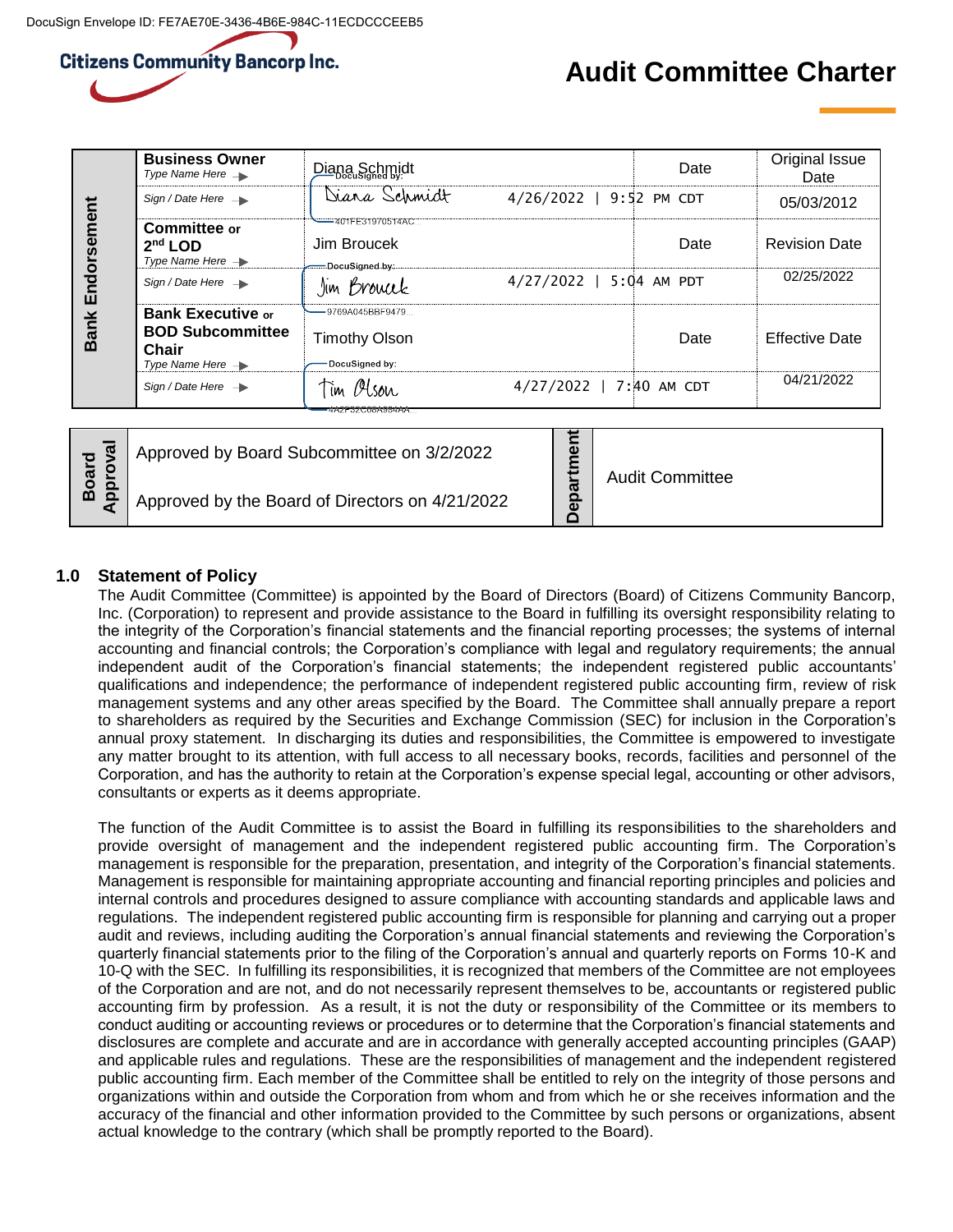# **Citizens Community Bancorp Inc.**

# **Audit Committee Charter**

| Endorsement<br><b>Bank</b> | <b>Business Owner</b><br>Type Name Here $\rightarrow$                                        | Diana Schmidt                                       |                         | Date | Original Issue<br>Date |
|----------------------------|----------------------------------------------------------------------------------------------|-----------------------------------------------------|-------------------------|------|------------------------|
|                            | Sign / Date Here $\rightarrow$                                                               | Diara Schmidt                                       | 4/26/2022   9:52 PM CDT |      | 05/03/2012             |
|                            | Committee or<br>$2nd$ LOD<br>Type Name Here $\rightarrow$                                    | -401FE31970514AC<br>Jim Broucek<br>DocuSigned by:   |                         | Date | <b>Revision Date</b>   |
|                            | Sign / Date Here $\rightarrow$                                                               | Jim Browck                                          | 4/27/2022   5:04 AM PDT |      | 02/25/2022             |
|                            | <b>Bank Executive or</b><br><b>BOD Subcommittee</b><br>Chair<br>Type Name Here $\rightarrow$ | -9769A045BBF9479<br>Timothy Olson<br>DocuSigned by: |                         | Date | Effective Date         |
|                            | Sign / Date Here $\rightarrow$                                                               | Tim Olson<br>4AZI 3ZC00A904AA                       | 4/27/2022   7:40 AM CDT |      | 04/21/2022             |

| ard<br>roval   | Approved by Board Subcommittee on 3/2/2022      | <b>Audit Committee</b> |
|----------------|-------------------------------------------------|------------------------|
| $\circ$<br>m σ | Approved by the Board of Directors on 4/21/2022 |                        |

# **1.0 Statement of Policy**

The Audit Committee (Committee) is appointed by the Board of Directors (Board) of Citizens Community Bancorp, Inc. (Corporation) to represent and provide assistance to the Board in fulfilling its oversight responsibility relating to the integrity of the Corporation's financial statements and the financial reporting processes; the systems of internal accounting and financial controls; the Corporation's compliance with legal and regulatory requirements; the annual independent audit of the Corporation's financial statements; the independent registered public accountants' qualifications and independence; the performance of independent registered public accounting firm, review of risk management systems and any other areas specified by the Board. The Committee shall annually prepare a report to shareholders as required by the Securities and Exchange Commission (SEC) for inclusion in the Corporation's annual proxy statement. In discharging its duties and responsibilities, the Committee is empowered to investigate any matter brought to its attention, with full access to all necessary books, records, facilities and personnel of the Corporation, and has the authority to retain at the Corporation's expense special legal, accounting or other advisors, consultants or experts as it deems appropriate.

The function of the Audit Committee is to assist the Board in fulfilling its responsibilities to the shareholders and provide oversight of management and the independent registered public accounting firm. The Corporation's management is responsible for the preparation, presentation, and integrity of the Corporation's financial statements. Management is responsible for maintaining appropriate accounting and financial reporting principles and policies and internal controls and procedures designed to assure compliance with accounting standards and applicable laws and regulations. The independent registered public accounting firm is responsible for planning and carrying out a proper audit and reviews, including auditing the Corporation's annual financial statements and reviewing the Corporation's quarterly financial statements prior to the filing of the Corporation's annual and quarterly reports on Forms 10-K and 10-Q with the SEC. In fulfilling its responsibilities, it is recognized that members of the Committee are not employees of the Corporation and are not, and do not necessarily represent themselves to be, accountants or registered public accounting firm by profession. As a result, it is not the duty or responsibility of the Committee or its members to conduct auditing or accounting reviews or procedures or to determine that the Corporation's financial statements and disclosures are complete and accurate and are in accordance with generally accepted accounting principles (GAAP) and applicable rules and regulations. These are the responsibilities of management and the independent registered public accounting firm. Each member of the Committee shall be entitled to rely on the integrity of those persons and organizations within and outside the Corporation from whom and from which he or she receives information and the accuracy of the financial and other information provided to the Committee by such persons or organizations, absent actual knowledge to the contrary (which shall be promptly reported to the Board).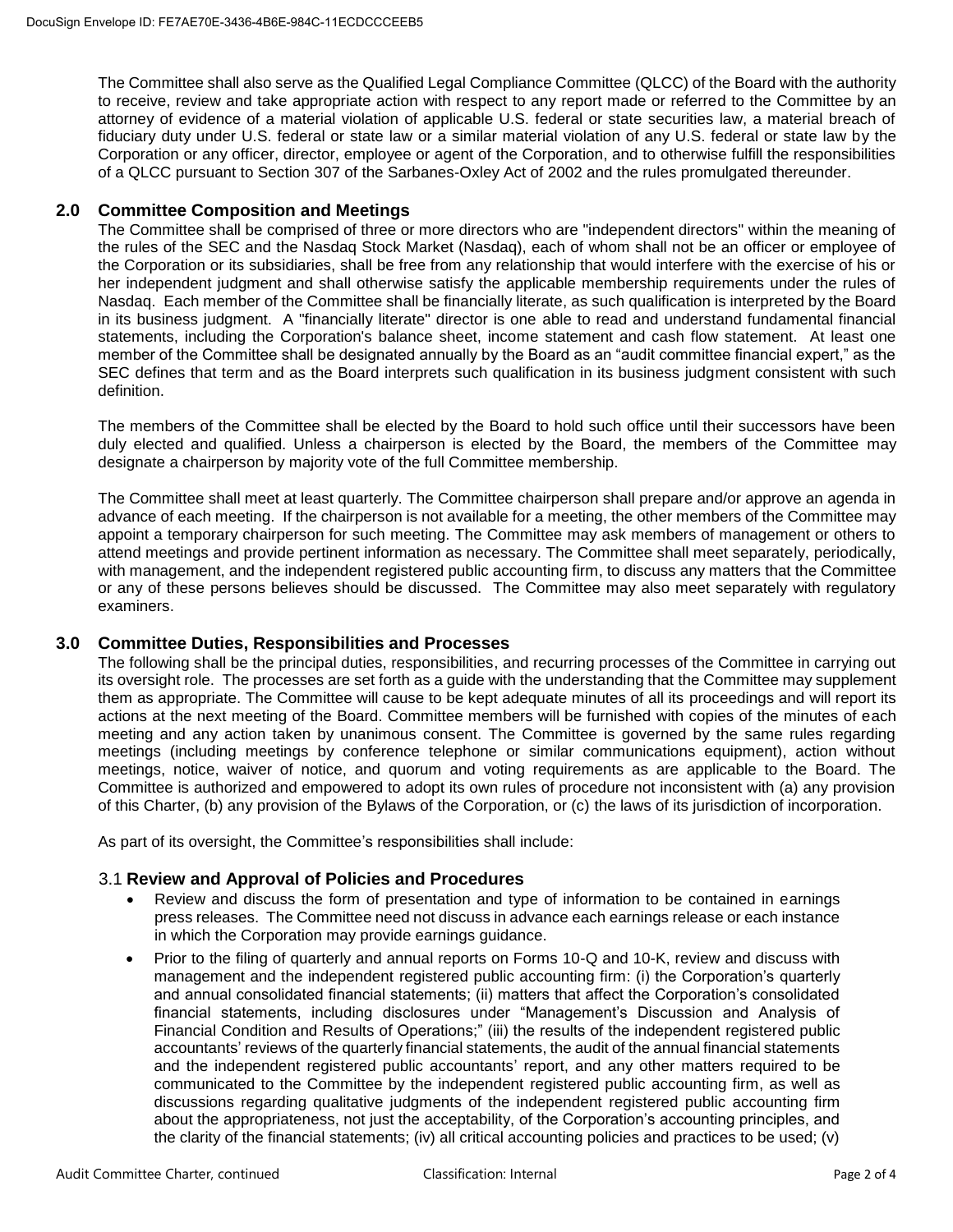The Committee shall also serve as the Qualified Legal Compliance Committee (QLCC) of the Board with the authority to receive, review and take appropriate action with respect to any report made or referred to the Committee by an attorney of evidence of a material violation of applicable U.S. federal or state securities law, a material breach of fiduciary duty under U.S. federal or state law or a similar material violation of any U.S. federal or state law by the Corporation or any officer, director, employee or agent of the Corporation, and to otherwise fulfill the responsibilities of a QLCC pursuant to Section 307 of the Sarbanes-Oxley Act of 2002 and the rules promulgated thereunder.

# **2.0 Committee Composition and Meetings**

The Committee shall be comprised of three or more directors who are "independent directors" within the meaning of the rules of the SEC and the Nasdaq Stock Market (Nasdaq), each of whom shall not be an officer or employee of the Corporation or its subsidiaries, shall be free from any relationship that would interfere with the exercise of his or her independent judgment and shall otherwise satisfy the applicable membership requirements under the rules of Nasdaq. Each member of the Committee shall be financially literate, as such qualification is interpreted by the Board in its business judgment. A "financially literate" director is one able to read and understand fundamental financial statements, including the Corporation's balance sheet, income statement and cash flow statement. At least one member of the Committee shall be designated annually by the Board as an "audit committee financial expert," as the SEC defines that term and as the Board interprets such qualification in its business judgment consistent with such definition.

The members of the Committee shall be elected by the Board to hold such office until their successors have been duly elected and qualified. Unless a chairperson is elected by the Board, the members of the Committee may designate a chairperson by majority vote of the full Committee membership.

The Committee shall meet at least quarterly. The Committee chairperson shall prepare and/or approve an agenda in advance of each meeting. If the chairperson is not available for a meeting, the other members of the Committee may appoint a temporary chairperson for such meeting. The Committee may ask members of management or others to attend meetings and provide pertinent information as necessary. The Committee shall meet separately, periodically, with management, and the independent registered public accounting firm, to discuss any matters that the Committee or any of these persons believes should be discussed. The Committee may also meet separately with regulatory examiners.

#### **3.0 Committee Duties, Responsibilities and Processes**

The following shall be the principal duties, responsibilities, and recurring processes of the Committee in carrying out its oversight role. The processes are set forth as a guide with the understanding that the Committee may supplement them as appropriate. The Committee will cause to be kept adequate minutes of all its proceedings and will report its actions at the next meeting of the Board. Committee members will be furnished with copies of the minutes of each meeting and any action taken by unanimous consent. The Committee is governed by the same rules regarding meetings (including meetings by conference telephone or similar communications equipment), action without meetings, notice, waiver of notice, and quorum and voting requirements as are applicable to the Board. The Committee is authorized and empowered to adopt its own rules of procedure not inconsistent with (a) any provision of this Charter, (b) any provision of the Bylaws of the Corporation, or (c) the laws of its jurisdiction of incorporation.

As part of its oversight, the Committee's responsibilities shall include:

# 3.1 **Review and Approval of Policies and Procedures**

- Review and discuss the form of presentation and type of information to be contained in earnings press releases. The Committee need not discuss in advance each earnings release or each instance in which the Corporation may provide earnings guidance.
- Prior to the filing of quarterly and annual reports on Forms 10-Q and 10-K, review and discuss with management and the independent registered public accounting firm: (i) the Corporation's quarterly and annual consolidated financial statements; (ii) matters that affect the Corporation's consolidated financial statements, including disclosures under "Management's Discussion and Analysis of Financial Condition and Results of Operations;" (iii) the results of the independent registered public accountants' reviews of the quarterly financial statements, the audit of the annual financial statements and the independent registered public accountants' report, and any other matters required to be communicated to the Committee by the independent registered public accounting firm, as well as discussions regarding qualitative judgments of the independent registered public accounting firm about the appropriateness, not just the acceptability, of the Corporation's accounting principles, and the clarity of the financial statements; (iv) all critical accounting policies and practices to be used; (v)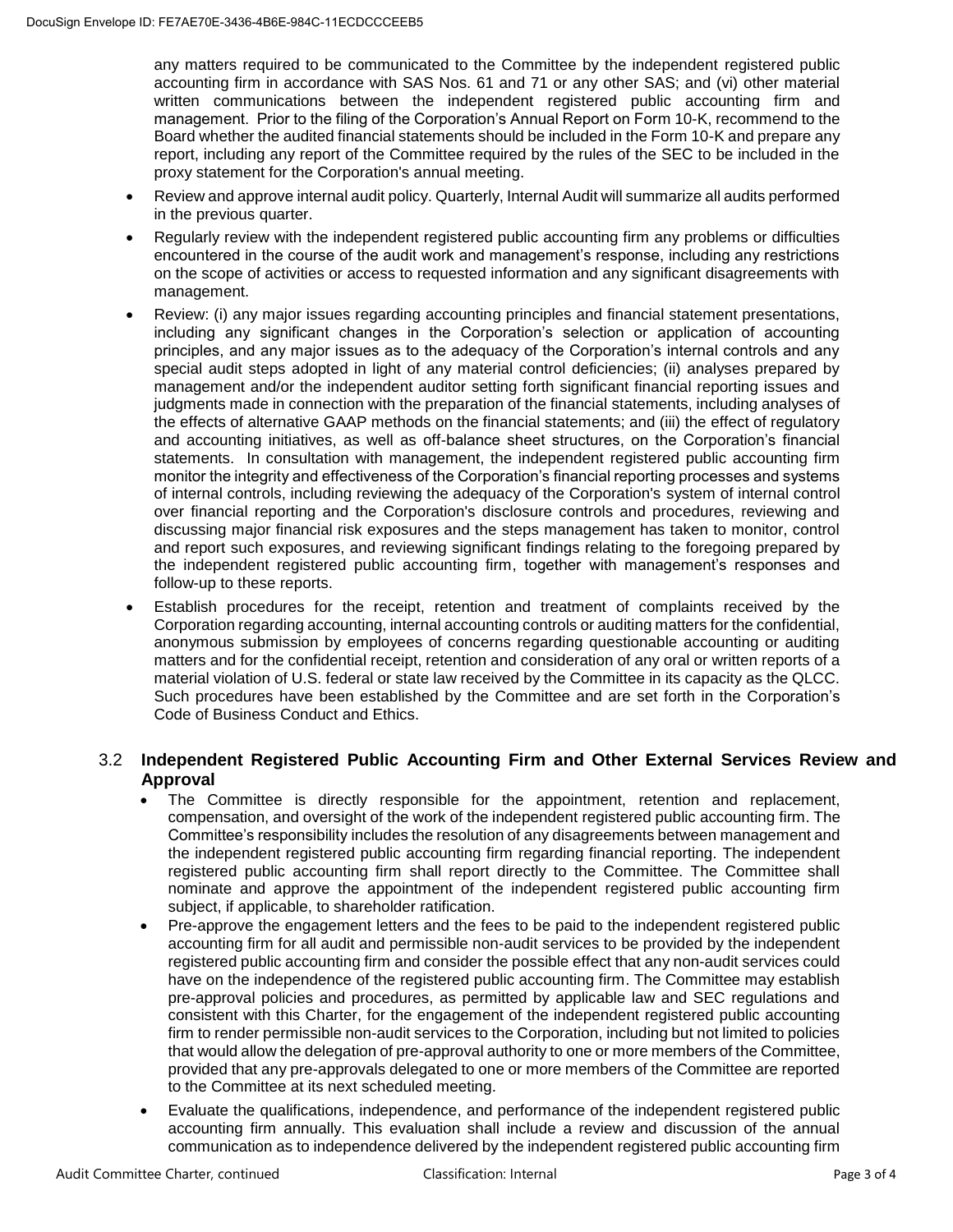any matters required to be communicated to the Committee by the independent registered public accounting firm in accordance with SAS Nos. 61 and 71 or any other SAS; and (vi) other material written communications between the independent registered public accounting firm and management. Prior to the filing of the Corporation's Annual Report on Form 10-K, recommend to the Board whether the audited financial statements should be included in the Form 10-K and prepare any report, including any report of the Committee required by the rules of the SEC to be included in the proxy statement for the Corporation's annual meeting.

- Review and approve internal audit policy. Quarterly, Internal Audit will summarize all audits performed in the previous quarter.
- Regularly review with the independent registered public accounting firm any problems or difficulties encountered in the course of the audit work and management's response, including any restrictions on the scope of activities or access to requested information and any significant disagreements with management.
- Review: (i) any major issues regarding accounting principles and financial statement presentations, including any significant changes in the Corporation's selection or application of accounting principles, and any major issues as to the adequacy of the Corporation's internal controls and any special audit steps adopted in light of any material control deficiencies; (ii) analyses prepared by management and/or the independent auditor setting forth significant financial reporting issues and judgments made in connection with the preparation of the financial statements, including analyses of the effects of alternative GAAP methods on the financial statements; and (iii) the effect of regulatory and accounting initiatives, as well as off-balance sheet structures, on the Corporation's financial statements. In consultation with management, the independent registered public accounting firm monitor the integrity and effectiveness of the Corporation's financial reporting processes and systems of internal controls, including reviewing the adequacy of the Corporation's system of internal control over financial reporting and the Corporation's disclosure controls and procedures, reviewing and discussing major financial risk exposures and the steps management has taken to monitor, control and report such exposures, and reviewing significant findings relating to the foregoing prepared by the independent registered public accounting firm, together with management's responses and follow-up to these reports.
- Establish procedures for the receipt, retention and treatment of complaints received by the Corporation regarding accounting, internal accounting controls or auditing matters for the confidential, anonymous submission by employees of concerns regarding questionable accounting or auditing matters and for the confidential receipt, retention and consideration of any oral or written reports of a material violation of U.S. federal or state law received by the Committee in its capacity as the QLCC. Such procedures have been established by the Committee and are set forth in the Corporation's Code of Business Conduct and Ethics.

# 3.2 **Independent Registered Public Accounting Firm and Other External Services Review and Approval**

- The Committee is directly responsible for the appointment, retention and replacement, compensation, and oversight of the work of the independent registered public accounting firm. The Committee's responsibility includes the resolution of any disagreements between management and the independent registered public accounting firm regarding financial reporting. The independent registered public accounting firm shall report directly to the Committee. The Committee shall nominate and approve the appointment of the independent registered public accounting firm subject, if applicable, to shareholder ratification.
- Pre-approve the engagement letters and the fees to be paid to the independent registered public accounting firm for all audit and permissible non-audit services to be provided by the independent registered public accounting firm and consider the possible effect that any non-audit services could have on the independence of the registered public accounting firm. The Committee may establish pre-approval policies and procedures, as permitted by applicable law and SEC regulations and consistent with this Charter, for the engagement of the independent registered public accounting firm to render permissible non-audit services to the Corporation, including but not limited to policies that would allow the delegation of pre-approval authority to one or more members of the Committee, provided that any pre-approvals delegated to one or more members of the Committee are reported to the Committee at its next scheduled meeting.
- Evaluate the qualifications, independence, and performance of the independent registered public accounting firm annually. This evaluation shall include a review and discussion of the annual communication as to independence delivered by the independent registered public accounting firm